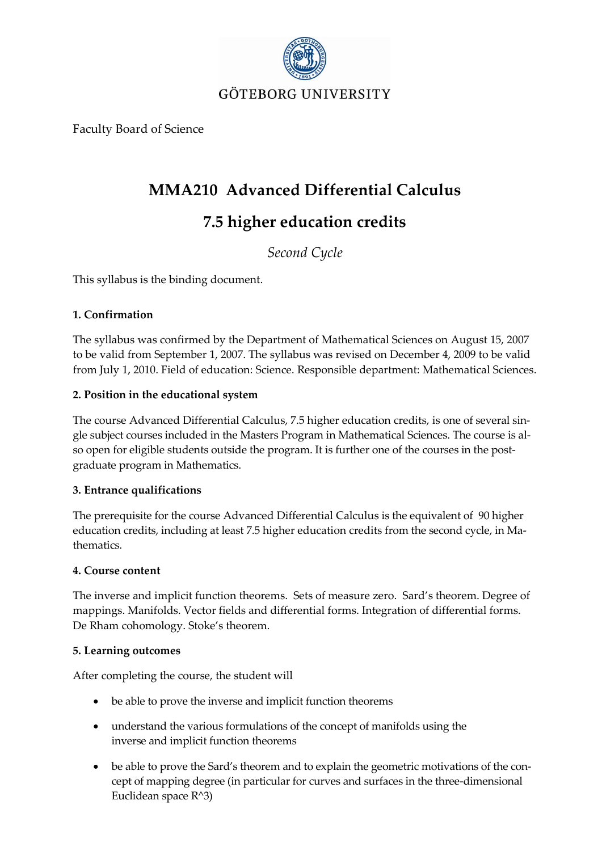

Faculty Board of Science

## **MMA210 Advanced Differential Calculus**

# **7.5 higher education credits**

*Second Cycle*

This syllabus is the binding document.

#### **1. Confirmation**

The syllabus was confirmed by the Department of Mathematical Sciences on August 15, 2007 to be valid from September 1, 2007. The syllabus was revised on December 4, 2009 to be valid from July 1, 2010. Field of education: Science. Responsible department: Mathematical Sciences.

#### **2. Position in the educational system**

The course Advanced Differential Calculus, 7.5 higher education credits, is one of several single subject courses included in the Masters Program in Mathematical Sciences. The course is also open for eligible students outside the program. It is further one of the courses in the postgraduate program in Mathematics.

#### **3. Entrance qualifications**

The prerequisite for the course Advanced Differential Calculus is the equivalent of 90 higher education credits, including at least 7.5 higher education credits from the second cycle, in Mathematics.

#### **4. Course content**

The inverse and implicit function theorems. Sets of measure zero. Sard's theorem. Degree of mappings. Manifolds. Vector fields and differential forms. Integration of differential forms. De Rham cohomology. Stoke's theorem.

#### **5. Learning outcomes**

After completing the course, the student will

- be able to prove the inverse and implicit function theorems
- understand the various formulations of the concept of manifolds using the inverse and implicit function theorems
- be able to prove the Sard's theorem and to explain the geometric motivations of the concept of mapping degree (in particular for curves and surfaces in the three-dimensional Euclidean space R^3)